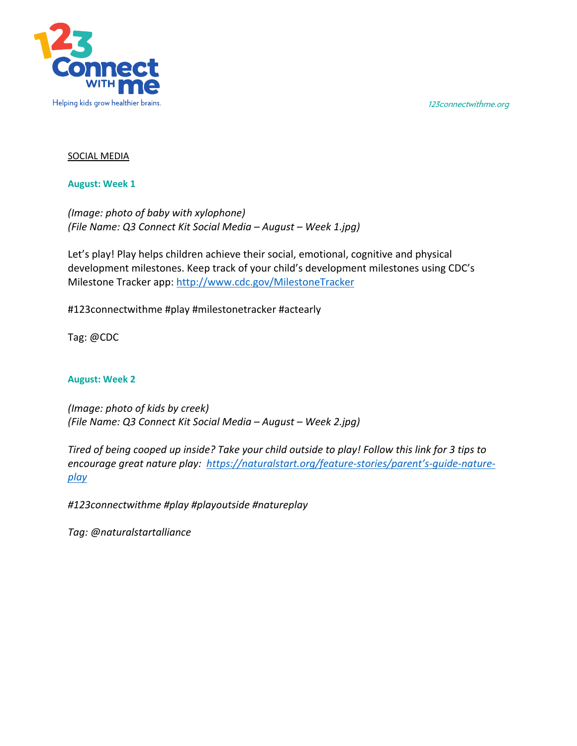123connectwithme.org



## SOCIAL MEDIA

**August: Week 1**

*(Image: photo of baby with xylophone) (File Name: Q3 Connect Kit Social Media – August – Week 1.jpg)*

Let's play! Play helps children achieve their social, emotional, cognitive and physical development milestones. Keep track of your child's development milestones using CDC's Milestone Tracker app: http://www.cdc.gov/MilestoneTracker

#123connectwithme #play #milestonetracker #actearly

Tag: @CDC

## **August: Week 2**

*(Image: photo of kids by creek) (File Name: Q3 Connect Kit Social Media – August – Week 2.jpg)*

*Tired of being cooped up inside? Take your child outside to play! Follow this link for 3 tips to encourage great nature play: https://naturalstart.org/feature-stories/parent's-guide-natureplay*

*#123connectwithme #play #playoutside #natureplay*

*Tag: @naturalstartalliance*